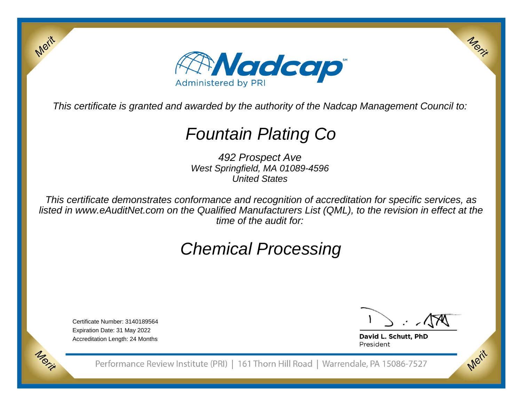

This certificate is granted and awarded by the authority of the Nadcap Management Council to:

# Fountain Plating Co

492 Prospect Ave West Springfield, MA 01089-4596United States

This certificate demonstrates conformance and recognition of accreditation for specific services, as listed in www.eAuditNet.com on the Qualified Manufacturers List (QML), to the revision in effect at thetime of the audit for:

# Chemical Processing

Certificate Number: 3140189564Expiration Date: 31 May 2022Accreditation Length: 24 Months

Merit

Morie

Merit

Merit

David L. Schutt, PhD President

Performance Review Institute (PRI) | 161 Thorn Hill Road | Warrendale, PA 15086-7527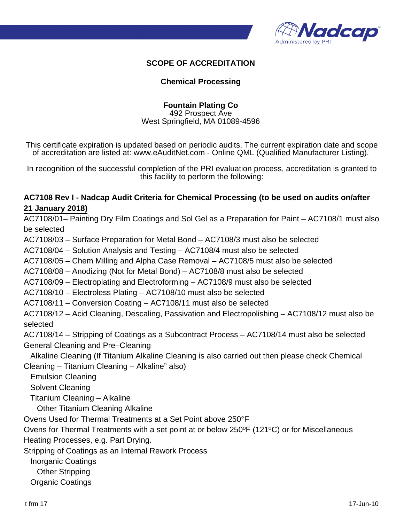

#### **SCOPE OF ACCREDITATION**

#### **Chemical Processing**

#### **Fountain Plating Co**

492 Prospect Ave West Springfield, MA 01089-4596

This certificate expiration is updated based on periodic audits. The current expiration date and scope of accreditation are listed at: www.eAuditNet.com - Online QML (Qualified Manufacturer Listing).

In recognition of the successful completion of the PRI evaluation process, accreditation is granted to this facility to perform the following:

#### **AC7108 Rev I - Nadcap Audit Criteria for Chemical Processing (to be used on audits on/after 21 January 2018)**

AC7108/01– Painting Dry Film Coatings and Sol Gel as a Preparation for Paint – AC7108/1 must also be selected AC7108/03 – Surface Preparation for Metal Bond – AC7108/3 must also be selected AC7108/04 – Solution Analysis and Testing – AC7108/4 must also be selected AC7108/05 – Chem Milling and Alpha Case Removal – AC7108/5 must also be selected AC7108/08 – Anodizing (Not for Metal Bond) – AC7108/8 must also be selected AC7108/09 – Electroplating and Electroforming – AC7108/9 must also be selected AC7108/10 – Electroless Plating – AC7108/10 must also be selected AC7108/11 – Conversion Coating – AC7108/11 must also be selected AC7108/12 – Acid Cleaning, Descaling, Passivation and Electropolishing – AC7108/12 must also be selected AC7108/14 – Stripping of Coatings as a Subcontract Process – AC7108/14 must also be selected General Cleaning and Pre–Cleaning Alkaline Cleaning (If Titanium Alkaline Cleaning is also carried out then please check Chemical Cleaning – Titanium Cleaning – Alkaline" also) Emulsion Cleaning Solvent Cleaning Titanium Cleaning – Alkaline Other Titanium Cleaning Alkaline Ovens Used for Thermal Treatments at a Set Point above 250°F Ovens for Thermal Treatments with a set point at or below 250ºF (121ºC) or for Miscellaneous Heating Processes, e.g. Part Drying. Stripping of Coatings as an Internal Rework Process Inorganic Coatings Other Stripping Organic Coatings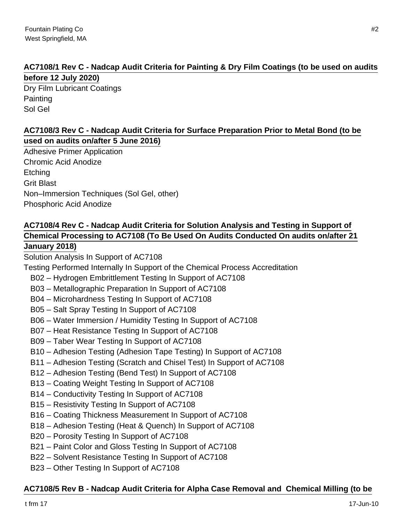#### **AC7108/1 Rev C - Nadcap Audit Criteria for Painting & Dry Film Coatings (to be used on audits before 12 July 2020)**

Dry Film Lubricant Coatings **Painting** Sol Gel

#### **AC7108/3 Rev C - Nadcap Audit Criteria for Surface Preparation Prior to Metal Bond (to be used on audits on/after 5 June 2016)**

Adhesive Primer Application Chromic Acid Anodize **Etching** Grit Blast Non–Immersion Techniques (Sol Gel, other) Phosphoric Acid Anodize

# **AC7108/4 Rev C - Nadcap Audit Criteria for Solution Analysis and Testing in Support of Chemical Processing to AC7108 (To Be Used On Audits Conducted On audits on/after 21**

#### **January 2018)**

Solution Analysis In Support of AC7108

Testing Performed Internally In Support of the Chemical Process Accreditation

- B02 Hydrogen Embrittlement Testing In Support of AC7108
- B03 Metallographic Preparation In Support of AC7108
- B04 Microhardness Testing In Support of AC7108
- B05 Salt Spray Testing In Support of AC7108
- B06 Water Immersion / Humidity Testing In Support of AC7108
- B07 Heat Resistance Testing In Support of AC7108
- B09 Taber Wear Testing In Support of AC7108
- B10 Adhesion Testing (Adhesion Tape Testing) In Support of AC7108
- B11 Adhesion Testing (Scratch and Chisel Test) In Support of AC7108
- B12 Adhesion Testing (Bend Test) In Support of AC7108
- B13 Coating Weight Testing In Support of AC7108
- B14 Conductivity Testing In Support of AC7108
- B15 Resistivity Testing In Support of AC7108
- B16 Coating Thickness Measurement In Support of AC7108
- B18 Adhesion Testing (Heat & Quench) In Support of AC7108
- B20 Porosity Testing In Support of AC7108
- B21 Paint Color and Gloss Testing In Support of AC7108
- B22 Solvent Resistance Testing In Support of AC7108
- B23 Other Testing In Support of AC7108

### **AC7108/5 Rev B - Nadcap Audit Criteria for Alpha Case Removal and Chemical Milling (to be**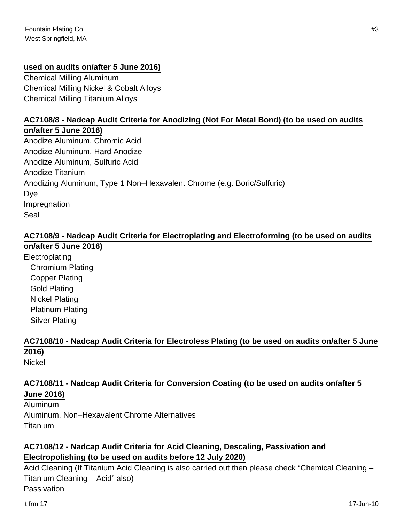#### **used on audits on/after 5 June 2016)**

Chemical Milling Aluminum Chemical Milling Nickel & Cobalt Alloys Chemical Milling Titanium Alloys

#### **AC7108/8 - Nadcap Audit Criteria for Anodizing (Not For Metal Bond) (to be used on audits**

**on/after 5 June 2016)** Anodize Aluminum, Chromic Acid Anodize Aluminum, Hard Anodize Anodize Aluminum, Sulfuric Acid Anodize Titanium Anodizing Aluminum, Type 1 Non–Hexavalent Chrome (e.g. Boric/Sulfuric) Dye Impregnation Seal

#### **AC7108/9 - Nadcap Audit Criteria for Electroplating and Electroforming (to be used on audits on/after 5 June 2016)**

**Electroplating**  Chromium Plating Copper Plating Gold Plating Nickel Plating Platinum Plating Silver Plating

## **AC7108/10 - Nadcap Audit Criteria for Electroless Plating (to be used on audits on/after 5 June 2016)**

Nickel

#### **AC7108/11 - Nadcap Audit Criteria for Conversion Coating (to be used on audits on/after 5 June 2016)**

Aluminum Aluminum, Non–Hexavalent Chrome Alternatives Titanium

#### **AC7108/12 - Nadcap Audit Criteria for Acid Cleaning, Descaling, Passivation and Electropolishing (to be used on audits before 12 July 2020)**

Acid Cleaning (If Titanium Acid Cleaning is also carried out then please check "Chemical Cleaning – Titanium Cleaning – Acid" also) Passivation